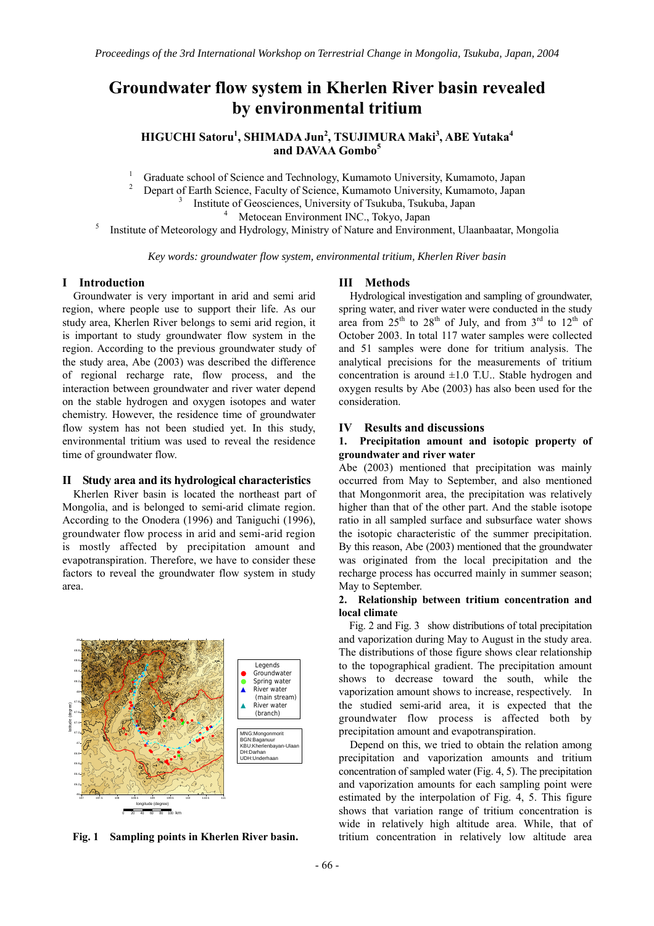# **Groundwater flow system in Kherlen River basin revealed by environmental tritium**

**HIGUCHI Satoru<sup>1</sup> , SHIMADA Jun<sup>2</sup> , TSUJIMURA Maki<sup>3</sup> , ABE Yutaka<sup>4</sup> and DAVAA Gombo<sup>5</sup>**

1 Graduate school of Science and Technology, Kumamoto University, Kumamoto, Japan  $\overline{2}$ 

Depart of Earth Science, Faculty of Science, Kumamoto University, Kumamoto, Japan 3

Institute of Geosciences, University of Tsukuba, Tsukuba, Japan 4 Metocean Environment INC., Tokyo, Japan

<sup>4</sup> Metocean Environment INC., Tokyo, Japan<br><sup>5</sup> Institute of Meteorology and Hydrology, Ministry of Nature and Environment, Ulaanbaatar, Mongolia

*Key words: groundwater flow system, environmental tritium, Kherlen River basin* 

# **I Introduction**

Groundwater is very important in arid and semi arid region, where people use to support their life. As our study area, Kherlen River belongs to semi arid region, it is important to study groundwater flow system in the region. According to the previous groundwater study of the study area, Abe (2003) was described the difference of regional recharge rate, flow process, and the interaction between groundwater and river water depend on the stable hydrogen and oxygen isotopes and water chemistry. However, the residence time of groundwater flow system has not been studied yet. In this study, environmental tritium was used to reveal the residence time of groundwater flow.

#### **II Study area and its hydrological characteristics**

 Kherlen River basin is located the northeast part of Mongolia, and is belonged to semi-arid climate region. According to the Onodera (1996) and Taniguchi (1996), groundwater flow process in arid and semi-arid region is mostly affected by precipitation amount and evapotranspiration. Therefore, we have to consider these factors to reveal the groundwater flow system in study area.



**Fig. 1 Sampling points in Kherlen River basin.** 

# **III Methods**

 Hydrological investigation and sampling of groundwater, spring water, and river water were conducted in the study area from  $25<sup>th</sup>$  to  $28<sup>th</sup>$  of July, and from  $3<sup>rd</sup>$  to  $12<sup>th</sup>$  of October 2003. In total 117 water samples were collected and 51 samples were done for tritium analysis. The analytical precisions for the measurements of tritium concentration is around  $\pm 1.0$  T.U.. Stable hydrogen and oxygen results by Abe (2003) has also been used for the consideration.

# **IV Results and discussions**

# **1. Precipitation amount and isotopic property of groundwater and river water**

Abe (2003) mentioned that precipitation was mainly occurred from May to September, and also mentioned that Mongonmorit area, the precipitation was relatively higher than that of the other part. And the stable isotope ratio in all sampled surface and subsurface water shows the isotopic characteristic of the summer precipitation. By this reason, Abe (2003) mentioned that the groundwater was originated from the local precipitation and the recharge process has occurred mainly in summer season; May to September.

# **2. Relationship between tritium concentration and local climate**

Fig. 2 and Fig. 3 show distributions of total precipitation and vaporization during May to August in the study area. The distributions of those figure shows clear relationship to the topographical gradient. The precipitation amount shows to decrease toward the south, while the vaporization amount shows to increase, respectively. In the studied semi-arid area, it is expected that the groundwater flow process is affected both by precipitation amount and evapotranspiration.

 Depend on this, we tried to obtain the relation among precipitation and vaporization amounts and tritium concentration of sampled water (Fig. 4, 5). The precipitation and vaporization amounts for each sampling point were estimated by the interpolation of Fig. 4, 5. This figure shows that variation range of tritium concentration is wide in relatively high altitude area. While, that of tritium concentration in relatively low altitude area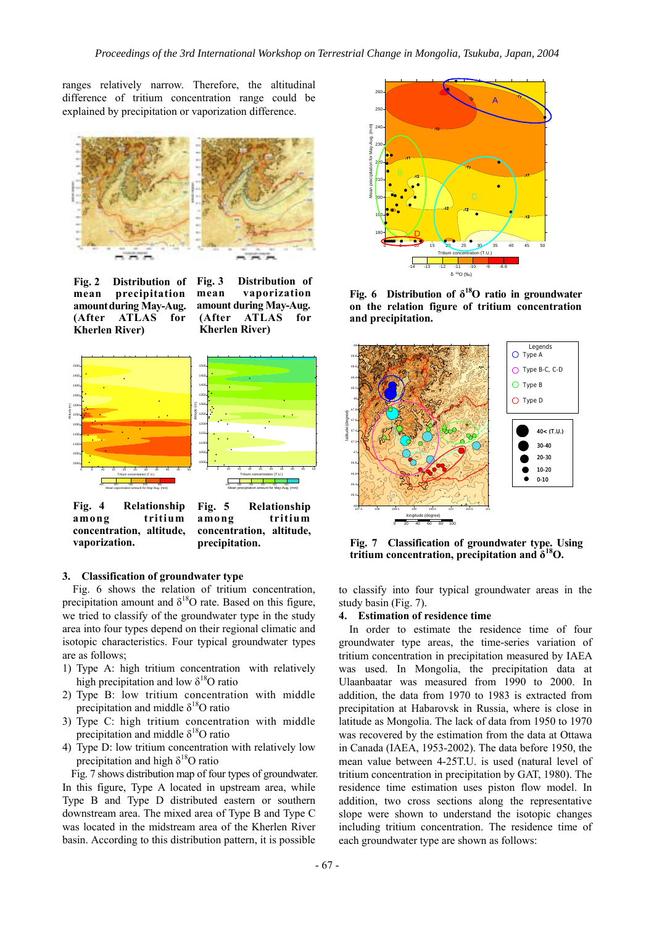ranges relatively narrow. Therefore, the altitudinal difference of tritium concentration range could be explained by precipitation or vaporization difference.



Fig. 2 Distribution of Fig. 3 **mean precipitation amountduring May-Aug. (After ATLAS for Kherlen River)**

**Fig. 3 Distribution of mean vaporization amount during May-Aug. (After ATLAS for Kherlen River)** 



Fig. 4 Relationship **among tritium concentration, altitude, vaporization.** 

Fig. 5 Relationship **among tritium concentration, altitude, precipitation.** 

## **3. Classification of groundwater type**

Fig. 6 shows the relation of tritium concentration, precipitation amount and  $\delta^{18}$ O rate. Based on this figure, we tried to classify of the groundwater type in the study area into four types depend on their regional climatic and isotopic characteristics. Four typical groundwater types are as follows;

- 1) Type A: high tritium concentration with relatively high precipitation and low  $\delta^{18}O$  ratio
- 2) Type B: low tritium concentration with middle precipitation and middle  $\delta^{18}$ O ratio
- 3) Type C: high tritium concentration with middle precipitation and middle  $\delta^{18}$ O ratio
- 4) Type D: low tritium concentration with relatively low precipitation and high  $\delta^{18}$ O ratio

Fig. 7 shows distribution map of four types of groundwater. In this figure, Type A located in upstream area, while Type B and Type D distributed eastern or southern downstream area. The mixed area of Type B and Type C was located in the midstream area of the Kherlen River basin. According to this distribution pattern, it is possible



**Fig. 6 Distribution of**  $\delta^{18}$ **O ratio in groundwater on the relation figure of tritium concentration and precipitation.** 



**Fig. 7 Classification of groundwater type. Using tritium concentration, precipitation and δ18O.** 

to classify into four typical groundwater areas in the study basin (Fig. 7).

#### **4. Estimation of residence time**

In order to estimate the residence time of four groundwater type areas, the time-series variation of tritium concentration in precipitation measured by IAEA was used. In Mongolia, the precipitation data at Ulaanbaatar was measured from 1990 to 2000. In addition, the data from 1970 to 1983 is extracted from precipitation at Habarovsk in Russia, where is close in latitude as Mongolia. The lack of data from 1950 to 1970 was recovered by the estimation from the data at Ottawa in Canada (IAEA, 1953-2002). The data before 1950, the mean value between 4-25T.U. is used (natural level of tritium concentration in precipitation by GAT, 1980). The residence time estimation uses piston flow model. In addition, two cross sections along the representative slope were shown to understand the isotopic changes including tritium concentration. The residence time of each groundwater type are shown as follows: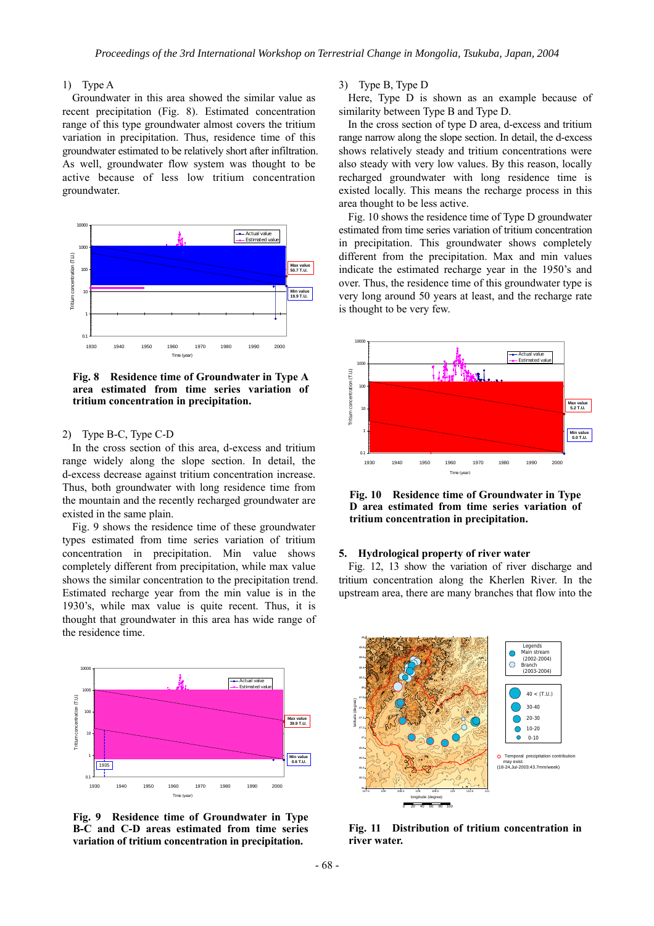#### 1) Type A

Groundwater in this area showed the similar value as recent precipitation (Fig. 8). Estimated concentration range of this type groundwater almost covers the tritium variation in precipitation. Thus, residence time of this groundwater estimated to be relatively short after infiltration. As well, groundwater flow system was thought to be active because of less low tritium concentration groundwater.



**Fig. 8 Residence time of Groundwater in Type A area estimated from time series variation of tritium concentration in precipitation.**

#### 2) Type B-C, Type C-D

In the cross section of this area, d-excess and tritium range widely along the slope section. In detail, the d-excess decrease against tritium concentration increase. Thus, both groundwater with long residence time from the mountain and the recently recharged groundwater are existed in the same plain.

Fig. 9 shows the residence time of these groundwater types estimated from time series variation of tritium concentration in precipitation. Min value shows completely different from precipitation, while max value shows the similar concentration to the precipitation trend. Estimated recharge year from the min value is in the 1930's, while max value is quite recent. Thus, it is thought that groundwater in this area has wide range of the residence time.



Fig. 9 Residence time of Groundwater in Type **B-C and C-D areas estimated from time series variation of tritium concentration in precipitation.**

3) Type B, Type D

Here, Type D is shown as an example because of similarity between Type B and Type D.

In the cross section of type D area, d-excess and tritium range narrow along the slope section. In detail, the d-excess shows relatively steady and tritium concentrations were also steady with very low values. By this reason, locally recharged groundwater with long residence time is existed locally. This means the recharge process in this area thought to be less active.

Fig. 10 shows the residence time of Type D groundwater estimated from time series variation of tritium concentration in precipitation. This groundwater shows completely different from the precipitation. Max and min values indicate the estimated recharge year in the 1950's and over. Thus, the residence time of this groundwater type is very long around 50 years at least, and the recharge rate is thought to be very few.



**Fig. 10 Residence time of Groundwater in Type D area estimated from time series variation of tritium concentration in precipitation.** 

#### **5. Hydrological property of river water**

Fig. 12, 13 show the variation of river discharge and tritium concentration along the Kherlen River. In the upstream area, there are many branches that flow into the



**Fig. 11 Distribution of tritium concentration in river water.**